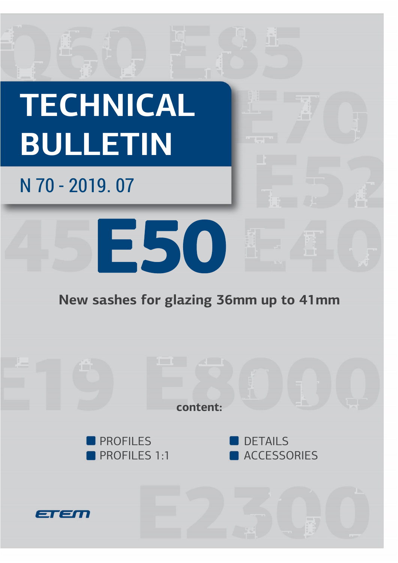

## **New sashes for glazing 36mm up to 41mm**

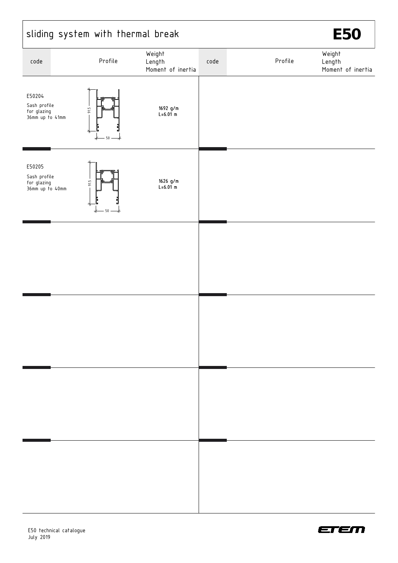|                                                          |               | sliding system with thermal break     | <b>E50</b> |         |                                       |  |
|----------------------------------------------------------|---------------|---------------------------------------|------------|---------|---------------------------------------|--|
| code                                                     | Profile       | Weight<br>Length<br>Moment of inertia | code       | Profile | Weight<br>Length<br>Moment of inertia |  |
| E50204<br>Sash profile<br>for glazing<br>36mm up to 41mm | 91.5<br>50    | 1692 g/m<br>$L = 6.01$ m              |            |         |                                       |  |
| E50205<br>Sash profile<br>for glazing<br>36mm up to 40mm | 91.5<br>$-50$ | 1626 g/m<br>$L = 6.01$ m              |            |         |                                       |  |
|                                                          |               |                                       |            |         |                                       |  |
|                                                          |               |                                       |            |         |                                       |  |
|                                                          |               |                                       |            |         |                                       |  |
|                                                          |               |                                       |            |         |                                       |  |

 $\mathsf{r}$ 



٦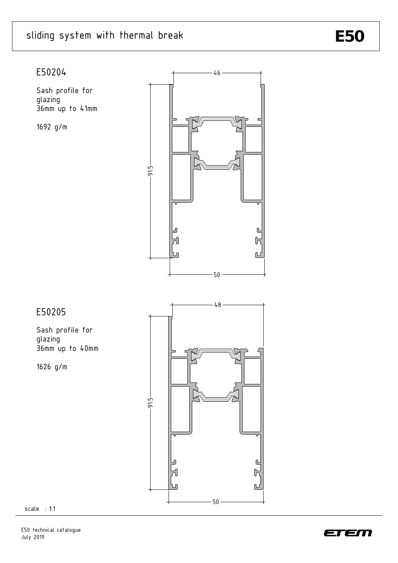## sliding system with thermal break **E50**

## E50204

Sash profile for glazing 36mm up to 41mm

1692 g/m



## E50205

Sash profile for glazing 36mm up to 40mm

1626 g/m



scale : 1:1

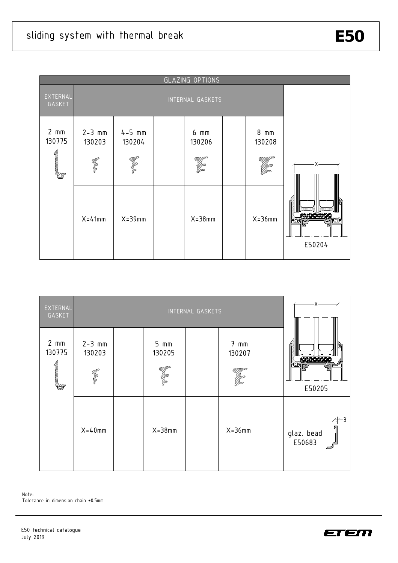

| EXTERNAL<br>GASKET  | INTERNAL GASKETS                    |  |                     |  |                          | -X- |                             |  |
|---------------------|-------------------------------------|--|---------------------|--|--------------------------|-----|-----------------------------|--|
| $2 \,$ mm<br>130775 | $2 - 3$ mm<br>130203<br><b>CONS</b> |  | $5 \,$ mm<br>130205 |  | $7 \text{ mm}$<br>130207 |     | E50205                      |  |
|                     | $X = 40$ mm                         |  | $X = 38$ mm         |  | $X = 36$ mm              |     | ∦—3<br>glaz. bead<br>E50683 |  |

Note: Tolerance in dimension chain ±0.5mm